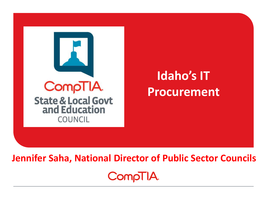

# **Idaho's IT Procurement**

**Jennifer Saha, National Director of Public Sector CouncilsCompTIA**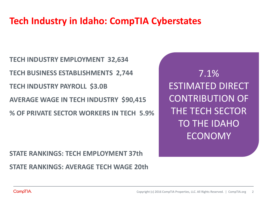## **Tech Industry in Idaho: CompTIA Cyberstates**

**TECH INDUSTRY EMPLOYMENT 32,634 TECH BUSINESS ESTABLISHMENTS 2,744 TECH INDUSTRY PAYROLL \$3.0B AVERAGE WAGE IN TECH INDUSTRY \$90,415 % OF PRIVATE SECTOR WORKERS IN TECH 5.9%**

**STATE RANKINGS: TECH EMPLOYMENT 37th STATE RANKINGS: AVERAGE TECH WAGE 20th**

7.1% ESTIMATED DIRECT CONTRIBUTION OF THE TECH SECTOR TO THE IDAHO ECONOMY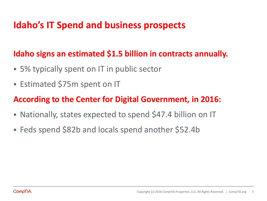#### **Idaho's IT Spend and business prospects**

#### **Idaho signs an estimated \$1.5 billion in contracts annually.**

- 5% typically spent on IT in public sector
- **Estimated \$75m spent on IT**

#### **According to the Center for Digital Government, in 2016:**

- Nationally, states expected to spend \$47.4 billion on IT
- Feds spend \$82b and locals spend another \$52.4b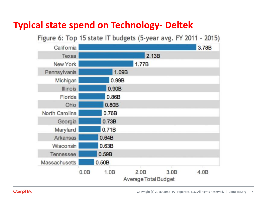## **Typical state spend on Technology- Deltek**

Figure 6: Top 15 state IT budgets (5-year avg. FY 2011 - 2015)

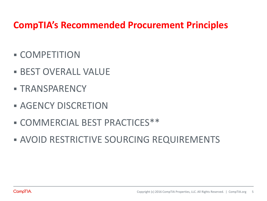## **CompTIA's Recommended Procurement Principles**

- COMPETITION
- **BEST OVERALL VALUE**
- **TRANSPARENCY**
- **AGENCY DISCRETION**
- COMMERCIAL BEST PRACTICES\*\*
- **AVOID RESTRICTIVE SOURCING REQUIREMENTS**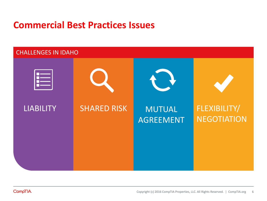#### **Commercial Best Practices Issues**

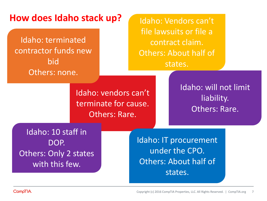| How does Idaho stack up?<br>Idaho: terminated<br>contractor funds new<br>bid |                                                               |  | Idaho: Vendors can't<br>file lawsuits or file a<br>contract claim.<br><b>Others: About half of</b><br>states. |  |                                                      |
|------------------------------------------------------------------------------|---------------------------------------------------------------|--|---------------------------------------------------------------------------------------------------------------|--|------------------------------------------------------|
| Others: none.                                                                | Idaho: vendors can't<br>terminate for cause.<br>Others: Rare. |  |                                                                                                               |  | Idaho: will not limit<br>liability.<br>Others: Rare. |
| Idaho: 10 staff in<br>DOP.<br><b>Others: Only 2 states</b><br>with this few. |                                                               |  | Idaho: IT procurement<br>under the CPO.<br><b>Others: About half of</b><br>states.                            |  |                                                      |